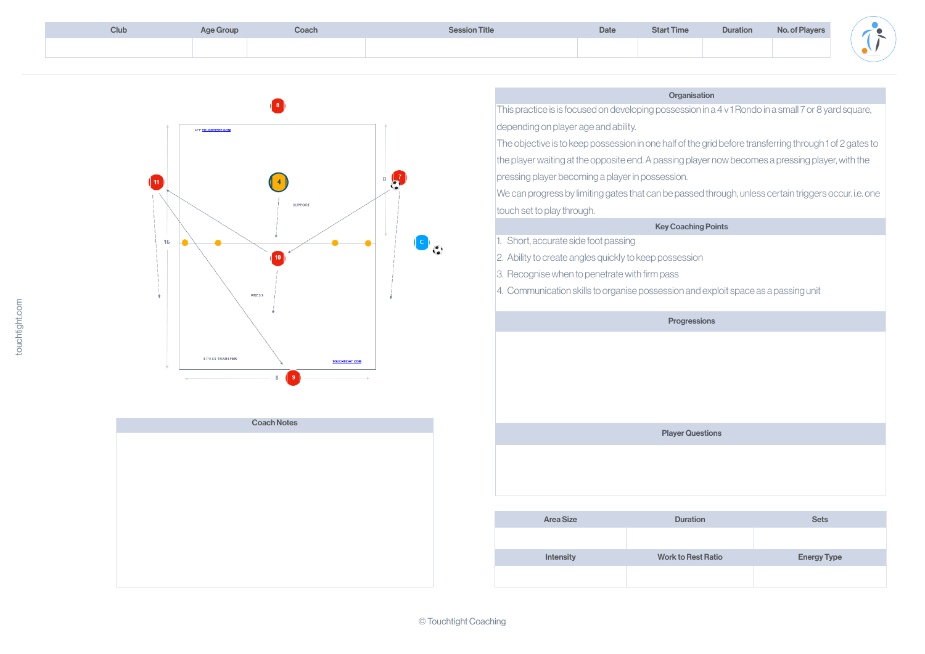| <b>Club</b> | <b>Age Group</b> | Coach | <b>Session Title</b> | <b>Date</b> | <b>Start Time</b> | <b>Duration</b> | <b>No. of Players</b> |
|-------------|------------------|-------|----------------------|-------------|-------------------|-----------------|-----------------------|
|             |                  |       |                      |             |                   |                 |                       |
|             |                  |       |                      |             |                   |                 |                       |

|  | <b>Organisation</b> |
|--|---------------------|
|  |                     |

This practice is is focused on developing possession in a 4 v 1 Rondo in a small 7 or 8 yard square, depending on player age and ability.

The objective is to keep possession in one half of the grid before transferring through 1 of 2 gates to

the player waiting at the opposite end. A passing player now becomes a pressing player, with the pressing player becoming a player in possession.

| <b>Area Size</b> | <b>Duration</b>           | <b>Sets</b>        |
|------------------|---------------------------|--------------------|
|                  |                           |                    |
| <b>Intensity</b> | <b>Work to Rest Ratio</b> | <b>Energy Type</b> |
|                  |                           |                    |







We can progress by limiting gates that can be passed through, unless certain triggers occur. i.e. one

### Key Coaching Points

Short, accurate side foot passing

2. Ability to create angles quickly to keep possession

| <b>Club</b> | <b>Age Group</b> |  |
|-------------|------------------|--|
|             |                  |  |

3. Recognise when to penetrate with firm pass





4. Communication skills to organise possession and exploit space as a passing unit

### **Progressions**

# Player Questions